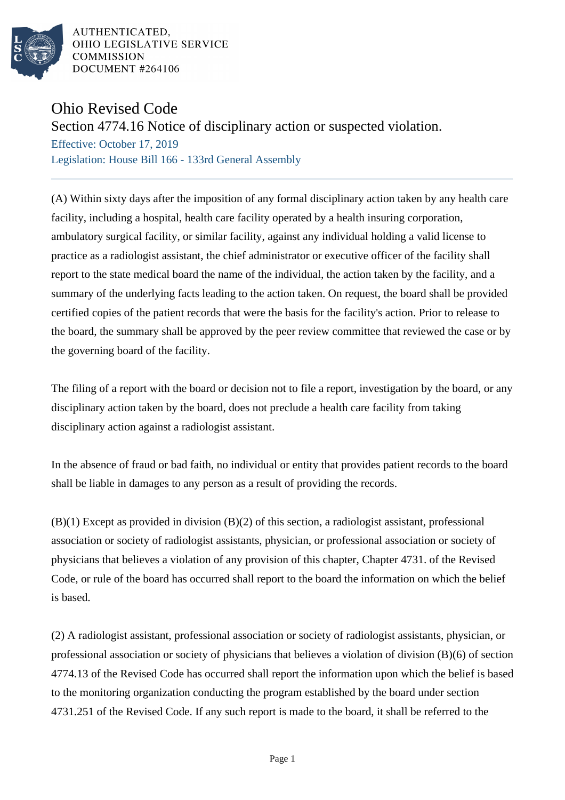

## Ohio Revised Code

## Section 4774.16 Notice of disciplinary action or suspected violation.

Effective: October 17, 2019 Legislation: House Bill 166 - 133rd General Assembly

(A) Within sixty days after the imposition of any formal disciplinary action taken by any health care facility, including a hospital, health care facility operated by a health insuring corporation, ambulatory surgical facility, or similar facility, against any individual holding a valid license to practice as a radiologist assistant, the chief administrator or executive officer of the facility shall report to the state medical board the name of the individual, the action taken by the facility, and a summary of the underlying facts leading to the action taken. On request, the board shall be provided certified copies of the patient records that were the basis for the facility's action. Prior to release to the board, the summary shall be approved by the peer review committee that reviewed the case or by the governing board of the facility.

The filing of a report with the board or decision not to file a report, investigation by the board, or any disciplinary action taken by the board, does not preclude a health care facility from taking disciplinary action against a radiologist assistant.

In the absence of fraud or bad faith, no individual or entity that provides patient records to the board shall be liable in damages to any person as a result of providing the records.

(B)(1) Except as provided in division (B)(2) of this section, a radiologist assistant, professional association or society of radiologist assistants, physician, or professional association or society of physicians that believes a violation of any provision of this chapter, Chapter 4731. of the Revised Code, or rule of the board has occurred shall report to the board the information on which the belief is based.

(2) A radiologist assistant, professional association or society of radiologist assistants, physician, or professional association or society of physicians that believes a violation of division (B)(6) of section 4774.13 of the Revised Code has occurred shall report the information upon which the belief is based to the monitoring organization conducting the program established by the board under section 4731.251 of the Revised Code. If any such report is made to the board, it shall be referred to the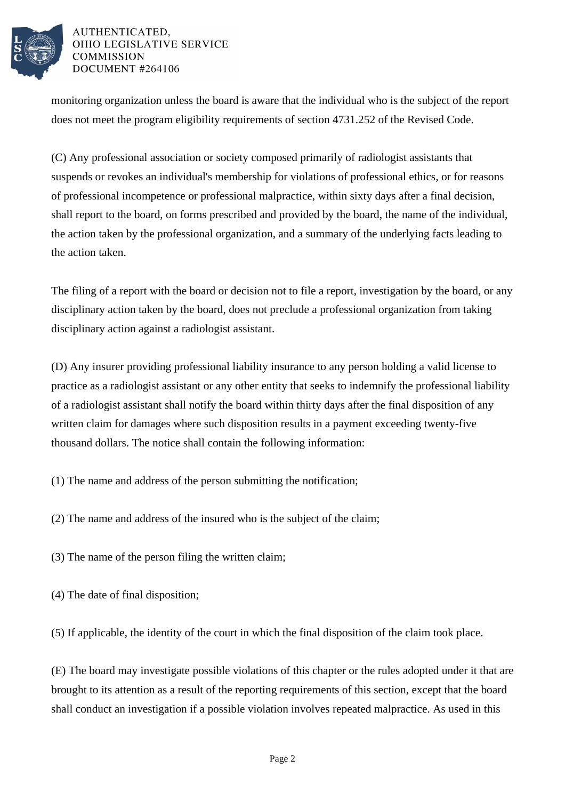

monitoring organization unless the board is aware that the individual who is the subject of the report does not meet the program eligibility requirements of section 4731.252 of the Revised Code.

(C) Any professional association or society composed primarily of radiologist assistants that suspends or revokes an individual's membership for violations of professional ethics, or for reasons of professional incompetence or professional malpractice, within sixty days after a final decision, shall report to the board, on forms prescribed and provided by the board, the name of the individual, the action taken by the professional organization, and a summary of the underlying facts leading to the action taken.

The filing of a report with the board or decision not to file a report, investigation by the board, or any disciplinary action taken by the board, does not preclude a professional organization from taking disciplinary action against a radiologist assistant.

(D) Any insurer providing professional liability insurance to any person holding a valid license to practice as a radiologist assistant or any other entity that seeks to indemnify the professional liability of a radiologist assistant shall notify the board within thirty days after the final disposition of any written claim for damages where such disposition results in a payment exceeding twenty-five thousand dollars. The notice shall contain the following information:

- (1) The name and address of the person submitting the notification;
- (2) The name and address of the insured who is the subject of the claim;
- (3) The name of the person filing the written claim;
- (4) The date of final disposition;

(5) If applicable, the identity of the court in which the final disposition of the claim took place.

(E) The board may investigate possible violations of this chapter or the rules adopted under it that are brought to its attention as a result of the reporting requirements of this section, except that the board shall conduct an investigation if a possible violation involves repeated malpractice. As used in this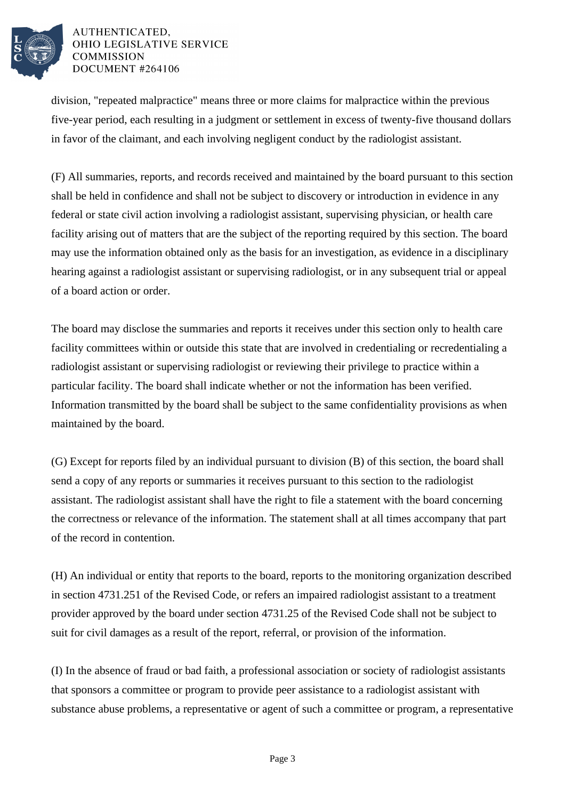

division, "repeated malpractice" means three or more claims for malpractice within the previous five-year period, each resulting in a judgment or settlement in excess of twenty-five thousand dollars in favor of the claimant, and each involving negligent conduct by the radiologist assistant.

(F) All summaries, reports, and records received and maintained by the board pursuant to this section shall be held in confidence and shall not be subject to discovery or introduction in evidence in any federal or state civil action involving a radiologist assistant, supervising physician, or health care facility arising out of matters that are the subject of the reporting required by this section. The board may use the information obtained only as the basis for an investigation, as evidence in a disciplinary hearing against a radiologist assistant or supervising radiologist, or in any subsequent trial or appeal of a board action or order.

The board may disclose the summaries and reports it receives under this section only to health care facility committees within or outside this state that are involved in credentialing or recredentialing a radiologist assistant or supervising radiologist or reviewing their privilege to practice within a particular facility. The board shall indicate whether or not the information has been verified. Information transmitted by the board shall be subject to the same confidentiality provisions as when maintained by the board.

(G) Except for reports filed by an individual pursuant to division (B) of this section, the board shall send a copy of any reports or summaries it receives pursuant to this section to the radiologist assistant. The radiologist assistant shall have the right to file a statement with the board concerning the correctness or relevance of the information. The statement shall at all times accompany that part of the record in contention.

(H) An individual or entity that reports to the board, reports to the monitoring organization described in section 4731.251 of the Revised Code, or refers an impaired radiologist assistant to a treatment provider approved by the board under section 4731.25 of the Revised Code shall not be subject to suit for civil damages as a result of the report, referral, or provision of the information.

(I) In the absence of fraud or bad faith, a professional association or society of radiologist assistants that sponsors a committee or program to provide peer assistance to a radiologist assistant with substance abuse problems, a representative or agent of such a committee or program, a representative